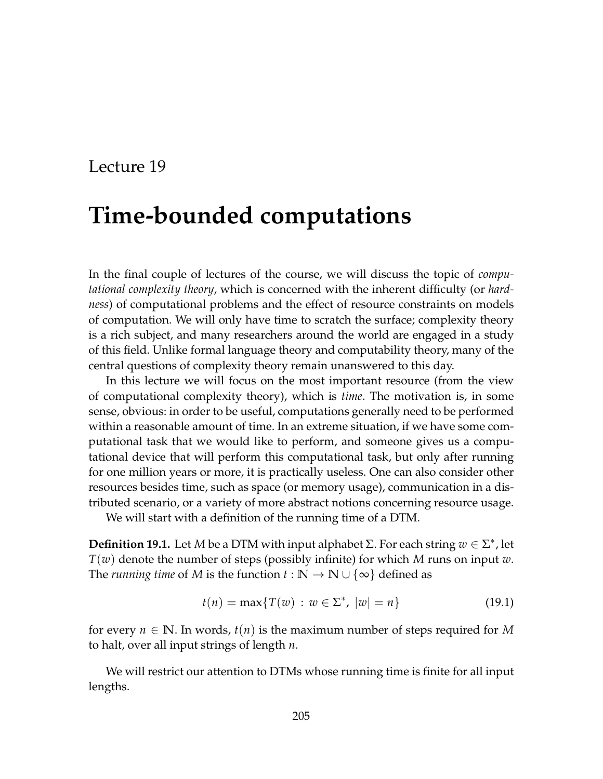## Lecture 19

# **Time-bounded computations**

In the final couple of lectures of the course, we will discuss the topic of *computational complexity theory*, which is concerned with the inherent difficulty (or *hardness*) of computational problems and the effect of resource constraints on models of computation. We will only have time to scratch the surface; complexity theory is a rich subject, and many researchers around the world are engaged in a study of this field. Unlike formal language theory and computability theory, many of the central questions of complexity theory remain unanswered to this day.

In this lecture we will focus on the most important resource (from the view of computational complexity theory), which is *time*. The motivation is, in some sense, obvious: in order to be useful, computations generally need to be performed within a reasonable amount of time. In an extreme situation, if we have some computational task that we would like to perform, and someone gives us a computational device that will perform this computational task, but only after running for one million years or more, it is practically useless. One can also consider other resources besides time, such as space (or memory usage), communication in a distributed scenario, or a variety of more abstract notions concerning resource usage.

We will start with a definition of the running time of a DTM.

**Definition 19.1.** Let *M* be a DTM with input alphabet Σ. For each string  $w \in \Sigma^*$ , let *T*(*w*) denote the number of steps (possibly infinite) for which *M* runs on input *w*. The *running time* of *M* is the function  $t : \mathbb{N} \to \mathbb{N} \cup \{\infty\}$  defined as

$$
t(n) = \max\{T(w) : w \in \Sigma^*, \ |w| = n\}
$$
 (19.1)

for every  $n \in \mathbb{N}$ . In words,  $t(n)$  is the maximum number of steps required for M to halt, over all input strings of length *n*.

We will restrict our attention to DTMs whose running time is finite for all input lengths.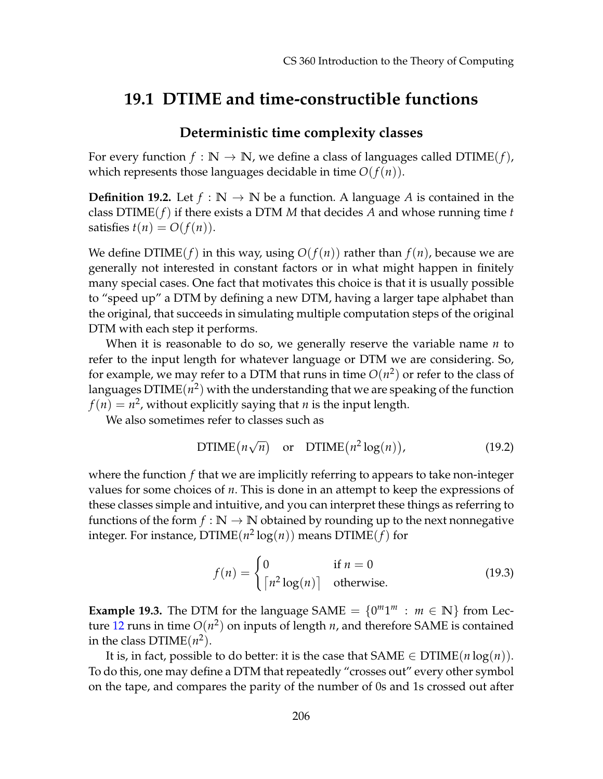## **19.1 DTIME and time-constructible functions**

### **Deterministic time complexity classes**

For every function  $f : \mathbb{N} \to \mathbb{N}$ , we define a class of languages called  $DTIME(f)$ , which represents those languages decidable in time  $O(f(n))$ .

**Definition 19.2.** Let  $f : \mathbb{N} \to \mathbb{N}$  be a function. A language *A* is contained in the class DTIME(*f*) if there exists a DTM *M* that decides *A* and whose running time *t* satisfies  $t(n) = O(f(n)).$ 

We define  $DTIME(f)$  in this way, using  $O(f(n))$  rather than  $f(n)$ , because we are generally not interested in constant factors or in what might happen in finitely many special cases. One fact that motivates this choice is that it is usually possible to "speed up" a DTM by defining a new DTM, having a larger tape alphabet than the original, that succeeds in simulating multiple computation steps of the original DTM with each step it performs.

When it is reasonable to do so, we generally reserve the variable name *n* to refer to the input length for whatever language or DTM we are considering. So, for example, we may refer to a DTM that runs in time  $O(n^2)$  or refer to the class of languages  $\mathrm{DTIME}(n^2)$  with the understanding that we are speaking of the function  $f(n) = n^2$ , without explicitly saying that  $n$  is the input length.

We also sometimes refer to classes such as

DTIME
$$
(n\sqrt{n})
$$
 or DTIME $(n^2 \log(n))$ , (19.2)

where the function *f* that we are implicitly referring to appears to take non-integer values for some choices of *n*. This is done in an attempt to keep the expressions of these classes simple and intuitive, and you can interpret these things as referring to functions of the form  $f : \mathbb{N} \to \mathbb{N}$  obtained by rounding up to the next nonnegative integer. For instance,  $\mathrm{DTIME}(n^2\log(n))$  means  $\mathrm{DTIME}(f)$  for

$$
f(n) = \begin{cases} 0 & \text{if } n = 0\\ \lceil n^2 \log(n) \rceil & \text{otherwise.} \end{cases}
$$
 (19.3)

**Example 19.3.** The DTM for the language SAME  $= \{0^m1^m : m \in \mathbb{N}\}\$  from Lec-ture [12](#page--1-0) runs in time  $O(n^2)$  on inputs of length *n*, and therefore SAME is contained in the class  $DTIME(n^2)$ .

It is, in fact, possible to do better: it is the case that  $SAME \in DTIME(n \log(n))$ . To do this, one may define a DTM that repeatedly "crosses out" every other symbol on the tape, and compares the parity of the number of 0s and 1s crossed out after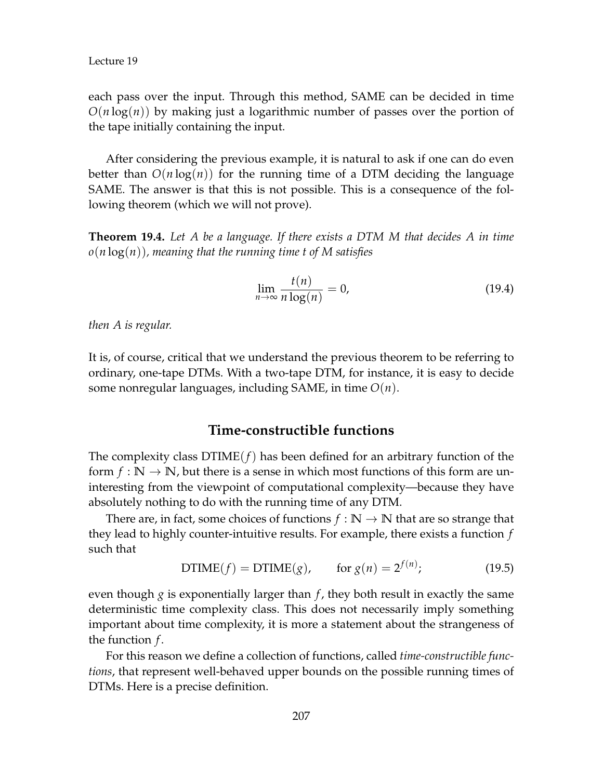each pass over the input. Through this method, SAME can be decided in time *O*(*n* log(*n*)) by making just a logarithmic number of passes over the portion of the tape initially containing the input.

After considering the previous example, it is natural to ask if one can do even better than  $O(n \log(n))$  for the running time of a DTM deciding the language SAME. The answer is that this is not possible. This is a consequence of the following theorem (which we will not prove).

**Theorem 19.4.** *Let A be a language. If there exists a DTM M that decides A in time o*(*n* log(*n*))*, meaning that the running time t of M satisfies*

$$
\lim_{n \to \infty} \frac{t(n)}{n \log(n)} = 0,
$$
\n(19.4)

*then A is regular.*

It is, of course, critical that we understand the previous theorem to be referring to ordinary, one-tape DTMs. With a two-tape DTM, for instance, it is easy to decide some nonregular languages, including SAME, in time *O*(*n*).

#### **Time-constructible functions**

The complexity class  $DTIME(f)$  has been defined for an arbitrary function of the form  $f : \mathbb{N} \to \mathbb{N}$ , but there is a sense in which most functions of this form are uninteresting from the viewpoint of computational complexity—because they have absolutely nothing to do with the running time of any DTM.

There are, in fact, some choices of functions  $f : \mathbb{N} \to \mathbb{N}$  that are so strange that they lead to highly counter-intuitive results. For example, there exists a function *f* such that

DTIME
$$
(f)
$$
 = DTIME $(g)$ , for  $g(n) = 2^{f(n)}$ ; (19.5)

even though  $g$  is exponentially larger than  $f$ , they both result in exactly the same deterministic time complexity class. This does not necessarily imply something important about time complexity, it is more a statement about the strangeness of the function *f* .

For this reason we define a collection of functions, called *time-constructible functions*, that represent well-behaved upper bounds on the possible running times of DTMs. Here is a precise definition.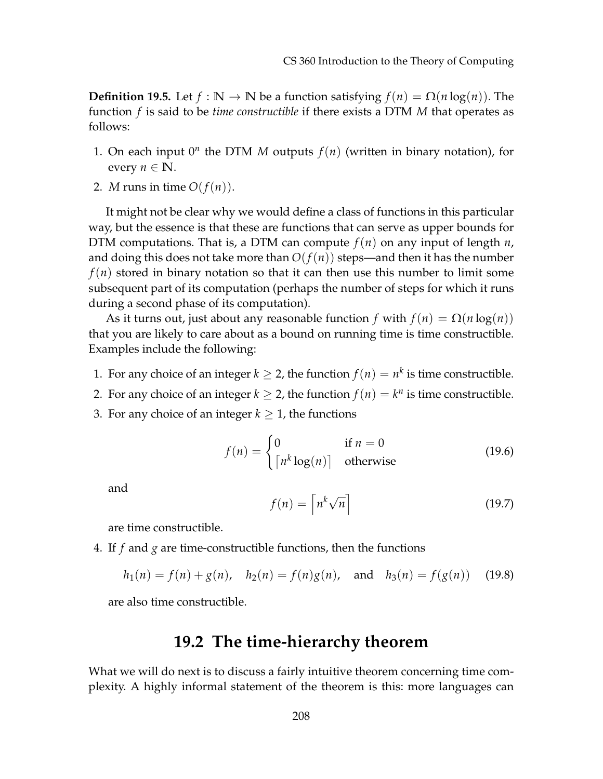**Definition 19.5.** Let  $f : \mathbb{N} \to \mathbb{N}$  be a function satisfying  $f(n) = \Omega(n \log(n))$ . The function *f* is said to be *time constructible* if there exists a DTM *M* that operates as follows:

- 1. On each input  $0^n$  the DTM *M* outputs  $f(n)$  (written in binary notation), for every  $n \in \mathbb{N}$ .
- 2. *M* runs in time  $O(f(n))$ .

It might not be clear why we would define a class of functions in this particular way, but the essence is that these are functions that can serve as upper bounds for DTM computations. That is, a DTM can compute  $f(n)$  on any input of length  $n$ , and doing this does not take more than  $O(f(n))$  steps—and then it has the number  $f(n)$  stored in binary notation so that it can then use this number to limit some subsequent part of its computation (perhaps the number of steps for which it runs during a second phase of its computation).

As it turns out, just about any reasonable function *f* with  $f(n) = \Omega(n \log(n))$ that you are likely to care about as a bound on running time is time constructible. Examples include the following:

- 1. For any choice of an integer  $k \geq 2$ , the function  $f(n) = n^k$  is time constructible.
- 2. For any choice of an integer  $k \geq 2$ , the function  $f(n) = k^n$  is time constructible.
- 3. For any choice of an integer  $k \geq 1$ , the functions

$$
f(n) = \begin{cases} 0 & \text{if } n = 0\\ \lceil n^k \log(n) \rceil & \text{otherwise} \end{cases}
$$
 (19.6)

and

$$
f(n) = \left\lceil n^k \sqrt{n} \right\rceil \tag{19.7}
$$

are time constructible.

4. If *f* and *g* are time-constructible functions, then the functions

$$
h_1(n) = f(n) + g(n), \quad h_2(n) = f(n)g(n), \quad \text{and} \quad h_3(n) = f(g(n)) \quad (19.8)
$$

are also time constructible.

## **19.2 The time-hierarchy theorem**

What we will do next is to discuss a fairly intuitive theorem concerning time complexity. A highly informal statement of the theorem is this: more languages can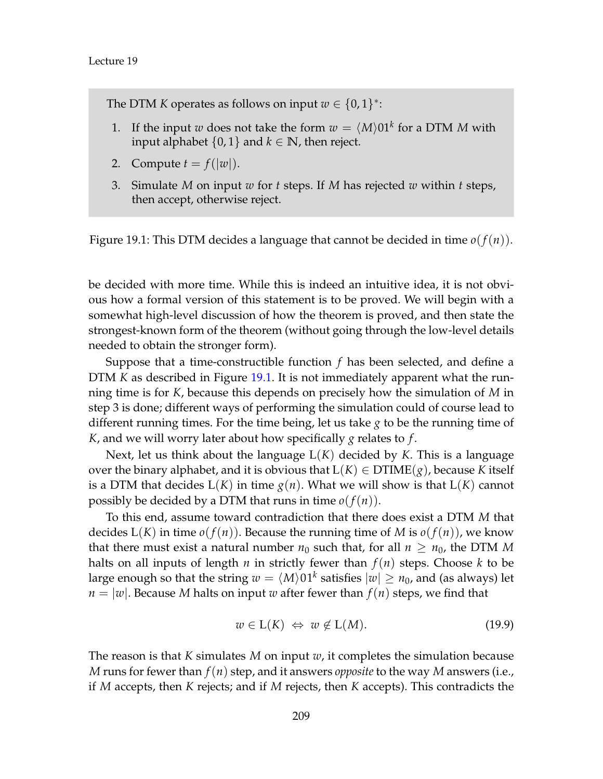The DTM *K* operates as follows on input  $w \in \{0,1\}^*$ :

- 1. If the input *w* does not take the form  $w = \langle M \rangle 01^k$  for a DTM *M* with input alphabet  $\{0, 1\}$  and  $k \in \mathbb{N}$ , then reject.
- 2. Compute  $t = f(|w|)$ .
- <span id="page-4-0"></span>3. Simulate *M* on input *w* for *t* steps. If *M* has rejected *w* within *t* steps, then accept, otherwise reject.

Figure 19.1: This DTM decides a language that cannot be decided in time *o*(*f*(*n*)).

be decided with more time. While this is indeed an intuitive idea, it is not obvious how a formal version of this statement is to be proved. We will begin with a somewhat high-level discussion of how the theorem is proved, and then state the strongest-known form of the theorem (without going through the low-level details needed to obtain the stronger form).

Suppose that a time-constructible function *f* has been selected, and define a DTM *K* as described in Figure [19.1.](#page-4-0) It is not immediately apparent what the running time is for *K*, because this depends on precisely how the simulation of *M* in step 3 is done; different ways of performing the simulation could of course lead to different running times. For the time being, let us take *g* to be the running time of *K*, and we will worry later about how specifically *g* relates to *f* .

Next, let us think about the language L(*K*) decided by *K*. This is a language over the binary alphabet, and it is obvious that  $L(K) \in \text{DTIME}(g)$ , because *K* itself is a DTM that decides  $L(K)$  in time  $g(n)$ . What we will show is that  $L(K)$  cannot possibly be decided by a DTM that runs in time  $o(f(n))$ .

To this end, assume toward contradiction that there does exist a DTM *M* that decides  $L(K)$  in time  $o(f(n))$ . Because the running time of *M* is  $o(f(n))$ , we know that there must exist a natural number  $n_0$  such that, for all  $n \geq n_0$ , the DTM M halts on all inputs of length *n* in strictly fewer than  $f(n)$  steps. Choose *k* to be large enough so that the string  $w = \langle M \rangle 01^k$  satisfies  $|w| \geq n_0$ , and (as always) let  $n = |w|$ . Because *M* halts on input *w* after fewer than  $f(n)$  steps, we find that

$$
w \in L(K) \iff w \notin L(M). \tag{19.9}
$$

The reason is that *K* simulates *M* on input *w*, it completes the simulation because *M* runs for fewer than *f*(*n*) step, and it answers *opposite* to the way *M* answers (i.e., if *M* accepts, then *K* rejects; and if *M* rejects, then *K* accepts). This contradicts the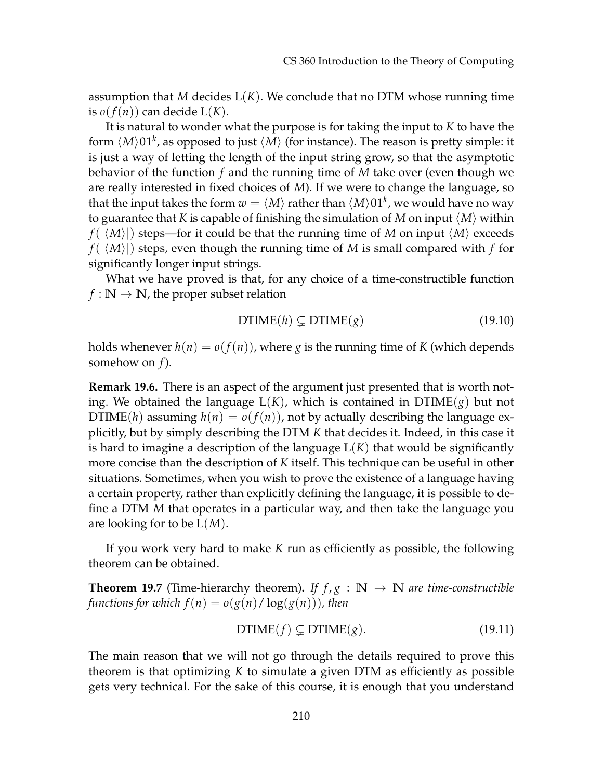assumption that *M* decides  $L(K)$ . We conclude that no DTM whose running time is  $o(f(n))$  can decide  $L(K)$ .

It is natural to wonder what the purpose is for taking the input to *K* to have the form  $\langle M\rangle01^k$ , as opposed to just  $\langle M\rangle$  (for instance). The reason is pretty simple: it is just a way of letting the length of the input string grow, so that the asymptotic behavior of the function *f* and the running time of *M* take over (even though we are really interested in fixed choices of *M*). If we were to change the language, so that the input takes the form  $w = \langle M \rangle$  rather than  $\langle M \rangle$ 01<sup>k</sup>, we would have no way to guarantee that *K* is capable of finishing the simulation of *M* on input  $\langle M \rangle$  within  $f(|\langle M \rangle|)$  steps—for it could be that the running time of *M* on input  $\langle M \rangle$  exceeds  $f(|\langle M \rangle|)$  steps, even though the running time of *M* is small compared with *f* for significantly longer input strings.

What we have proved is that, for any choice of a time-constructible function  $f : \mathbb{N} \to \mathbb{N}$ , the proper subset relation

$$
DTIME(h) \subsetneq DTIME(g) \tag{19.10}
$$

holds whenever  $h(n) = o(f(n))$ , where *g* is the running time of *K* (which depends somehow on *f*).

**Remark 19.6.** There is an aspect of the argument just presented that is worth noting. We obtained the language  $L(K)$ , which is contained in  $DTIME(g)$  but not DTIME(*h*) assuming  $h(n) = o(f(n))$ , not by actually describing the language explicitly, but by simply describing the DTM *K* that decides it. Indeed, in this case it is hard to imagine a description of the language L(*K*) that would be significantly more concise than the description of *K* itself. This technique can be useful in other situations. Sometimes, when you wish to prove the existence of a language having a certain property, rather than explicitly defining the language, it is possible to define a DTM *M* that operates in a particular way, and then take the language you are looking for to be L(*M*).

If you work very hard to make *K* run as efficiently as possible, the following theorem can be obtained.

**Theorem 19.7** (Time-hierarchy theorem). If  $f, g : \mathbb{N} \to \mathbb{N}$  are time-constructible *functions for which*  $f(n) = o(g(n)/\log(g(n)))$ *, then* 

$$
DTIME(f) \subsetneq DTIME(g). \tag{19.11}
$$

The main reason that we will not go through the details required to prove this theorem is that optimizing *K* to simulate a given DTM as efficiently as possible gets very technical. For the sake of this course, it is enough that you understand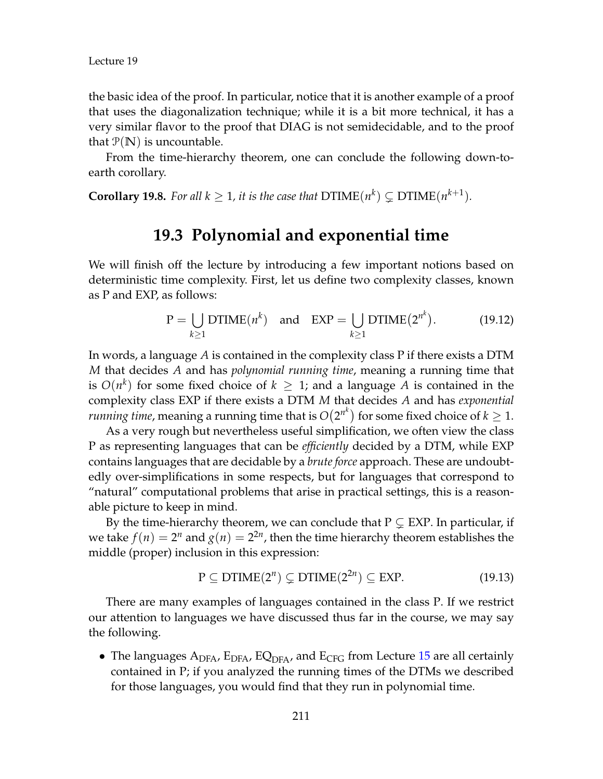the basic idea of the proof. In particular, notice that it is another example of a proof that uses the diagonalization technique; while it is a bit more technical, it has a very similar flavor to the proof that DIAG is not semidecidable, and to the proof that  $P(N)$  is uncountable.

From the time-hierarchy theorem, one can conclude the following down-toearth corollary.

**Corollary 19.8.** For all  $k \geq 1$ , it is the case that  $DTIME(n^k) \subsetneq DTIME(n^{k+1})$ .

## **19.3 Polynomial and exponential time**

We will finish off the lecture by introducing a few important notions based on deterministic time complexity. First, let us define two complexity classes, known as P and EXP, as follows:

$$
P = \bigcup_{k \ge 1} DTIME(n^k) \quad \text{and} \quad EXP = \bigcup_{k \ge 1} DTIME(2^{n^k}). \tag{19.12}
$$

In words, a language *A* is contained in the complexity class P if there exists a DTM *M* that decides *A* and has *polynomial running time*, meaning a running time that is  $O(n^k)$  for some fixed choice of  $k \geq 1$ ; and a language A is contained in the complexity class EXP if there exists a DTM *M* that decides *A* and has *exponential running time,* meaning a running time that is  $O(2^{n^k})$  for some fixed choice of  $k \geq 1$ .

As a very rough but nevertheless useful simplification, we often view the class P as representing languages that can be *efficiently* decided by a DTM, while EXP contains languages that are decidable by a *brute force* approach. These are undoubtedly over-simplifications in some respects, but for languages that correspond to "natural" computational problems that arise in practical settings, this is a reasonable picture to keep in mind.

By the time-hierarchy theorem, we can conclude that  $P \subseteq EXP$ . In particular, if we take  $f(n) = 2^n$  and  $g(n) = 2^{2n}$ , then the time hierarchy theorem establishes the middle (proper) inclusion in this expression:

$$
P \subseteq DTIME(2^n) \subsetneq DTIME(2^{2n}) \subseteq EXP.
$$
 (19.13)

There are many examples of languages contained in the class P. If we restrict our attention to languages we have discussed thus far in the course, we may say the following.

• The languages  $A_{DFA}$ ,  $E_{DFA}$ ,  $EQ_{DFA}$ , and  $E_{CFG}$  from Lecture [15](#page--1-0) are all certainly contained in P; if you analyzed the running times of the DTMs we described for those languages, you would find that they run in polynomial time.